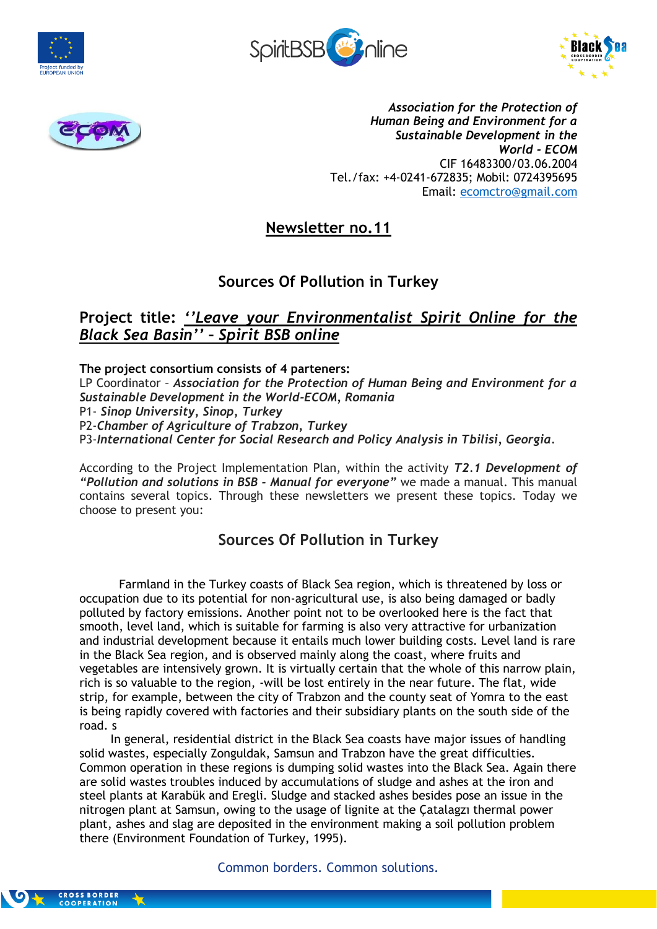







*Association for the Protection of Human Being and Environment for a Sustainable Development in the World - ECOM* CIF 16483300/03.06.2004 Tel./fax: +4-0241-672835; Mobil: 0724395695 Email: [ecomctro@gmail.com](mailto:ecomctro@gmail.com)

**Newsletter no.11**

## **Sources Of Pollution in Turkey**

## **Project title:** *''Leave your Environmentalist Spirit Online for the Black Sea Basin'' – Spirit BSB online*

**The project consortium consists of 4 parteners:** LP Coordinator – *Association for the Protection of Human Being and Environment for a Sustainable Development in the World-ECOM, Romania* P1- *Sinop University, Sinop, Turkey* P2-*Chamber of Agriculture of Trabzon, Turkey* P3-*International Center for Social Research and Policy Analysis in Tbilisi, Georgia.*

According to the Project Implementation Plan, within the activity *T2.1 Development of "Pollution and solutions in BSB - Manual for everyone"* we made a manual. This manual contains several topics. Through these newsletters we present these topics. Today we choose to present you:

## **Sources Of Pollution in Turkey**

Farmland in the Turkey coasts of Black Sea region, which is threatened by loss or occupation due to its potential for non-agricultural use, is also being damaged or badly polluted by factory emissions. Another point not to be overlooked here is the fact that smooth, level land, which is suitable for farming is also very attractive for urbanization and industrial development because it entails much lower building costs. Level land is rare in the Black Sea region, and is observed mainly along the coast, where fruits and vegetables are intensively grown. It is virtually certain that the whole of this narrow plain, rich is so valuable to the region, -will be lost entirely in the near future. The flat, wide strip, for example, between the city of Trabzon and the county seat of Yomra to the east is being rapidly covered with factories and their subsidiary plants on the south side of the road. s

In general, residential district in the Black Sea coasts have major issues of handling solid wastes, especially Zonguldak, Samsun and Trabzon have the great difficulties. Common operation in these regions is dumping solid wastes into the Black Sea. Again there are solid wastes troubles induced by accumulations of sludge and ashes at the iron and steel plants at Karabük and Eregli. Sludge and stacked ashes besides pose an issue in the nitrogen plant at Samsun, owing to the usage of lignite at the Çatalagzı thermal power plant, ashes and slag are deposited in the environment making a soil pollution problem there (Environment Foundation of Turkey, 1995).

Common borders. Common solutions.